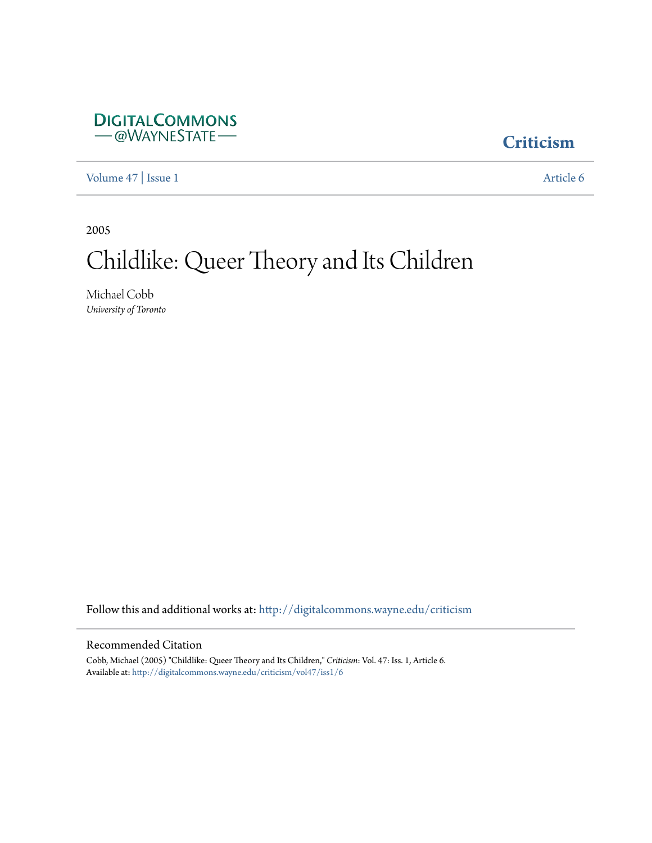### **DIGITALCOMMONS** - @WAYNESTATE-

## **[Criticism](http://digitalcommons.wayne.edu/criticism?utm_source=digitalcommons.wayne.edu%2Fcriticism%2Fvol47%2Fiss1%2F6&utm_medium=PDF&utm_campaign=PDFCoverPages)**

[Volume 47](http://digitalcommons.wayne.edu/criticism/vol47?utm_source=digitalcommons.wayne.edu%2Fcriticism%2Fvol47%2Fiss1%2F6&utm_medium=PDF&utm_campaign=PDFCoverPages) | [Issue 1](http://digitalcommons.wayne.edu/criticism/vol47/iss1?utm_source=digitalcommons.wayne.edu%2Fcriticism%2Fvol47%2Fiss1%2F6&utm_medium=PDF&utm_campaign=PDFCoverPages) [Article 6](http://digitalcommons.wayne.edu/criticism/vol47/iss1/6?utm_source=digitalcommons.wayne.edu%2Fcriticism%2Fvol47%2Fiss1%2F6&utm_medium=PDF&utm_campaign=PDFCoverPages)

2005

# Childlike: Queer Theory and Its Children

Michael Cobb *University of Toronto*

Follow this and additional works at: [http://digitalcommons.wayne.edu/criticism](http://digitalcommons.wayne.edu/criticism?utm_source=digitalcommons.wayne.edu%2Fcriticism%2Fvol47%2Fiss1%2F6&utm_medium=PDF&utm_campaign=PDFCoverPages)

#### Recommended Citation

Cobb, Michael (2005) "Childlike: Queer Theory and Its Children," *Criticism*: Vol. 47: Iss. 1, Article 6. Available at: [http://digitalcommons.wayne.edu/criticism/vol47/iss1/6](http://digitalcommons.wayne.edu/criticism/vol47/iss1/6?utm_source=digitalcommons.wayne.edu%2Fcriticism%2Fvol47%2Fiss1%2F6&utm_medium=PDF&utm_campaign=PDFCoverPages)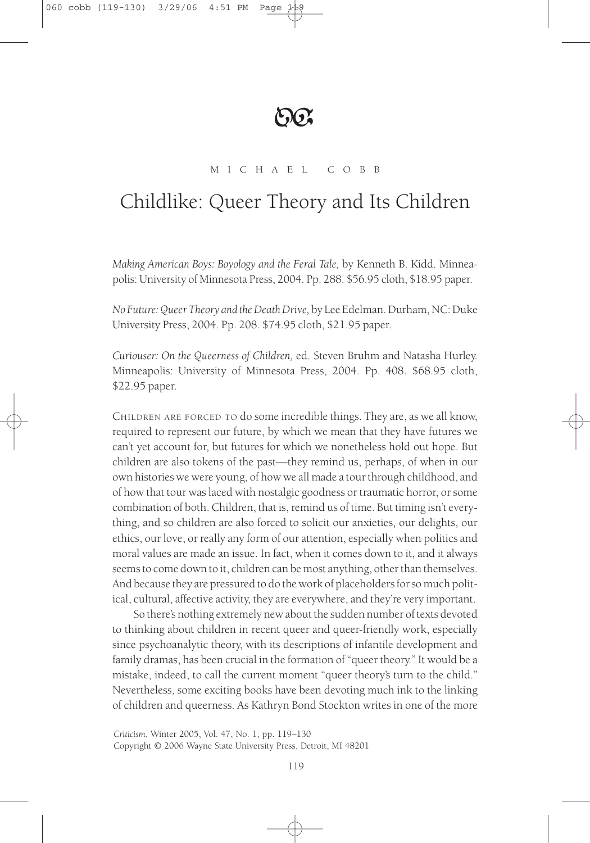OC.

#### MICHAEL COBB

## Childlike: Queer Theory and Its Children

*Making American Boys: Boyology and the Feral Tale,* by Kenneth B. Kidd. Minneapolis: University of Minnesota Press, 2004. Pp. 288. \$56.95 cloth, \$18.95 paper.

*No Future: Queer Theory and the Death Drive,* by Lee Edelman. Durham, NC: Duke University Press, 2004. Pp. 208. \$74.95 cloth, \$21.95 paper.

*Curiouser: On the Queerness of Children,* ed. Steven Bruhm and Natasha Hurley. Minneapolis: University of Minnesota Press, 2004. Pp. 408. \$68.95 cloth, \$22.95 paper.

CHILDREN ARE FORCED TO do some incredible things. They are, as we all know, required to represent our future, by which we mean that they have futures we can't yet account for, but futures for which we nonetheless hold out hope. But children are also tokens of the past—they remind us, perhaps, of when in our own histories we were young, of how we all made a tour through childhood, and of how that tour was laced with nostalgic goodness or traumatic horror, or some combination of both. Children, that is, remind us of time. But timing isn't everything, and so children are also forced to solicit our anxieties, our delights, our ethics, our love, or really any form of our attention, especially when politics and moral values are made an issue. In fact, when it comes down to it, and it always seems to come down to it, children can be most anything, other than themselves. And because they are pressured to do the work of placeholders for so much political, cultural, affective activity, they are everywhere, and they're very important.

So there's nothing extremely new about the sudden number of texts devoted to thinking about children in recent queer and queer-friendly work, especially since psychoanalytic theory, with its descriptions of infantile development and family dramas, has been crucial in the formation of "queer theory." It would be a mistake, indeed, to call the current moment "queer theory's turn to the child." Nevertheless, some exciting books have been devoting much ink to the linking of children and queerness. As Kathryn Bond Stockton writes in one of the more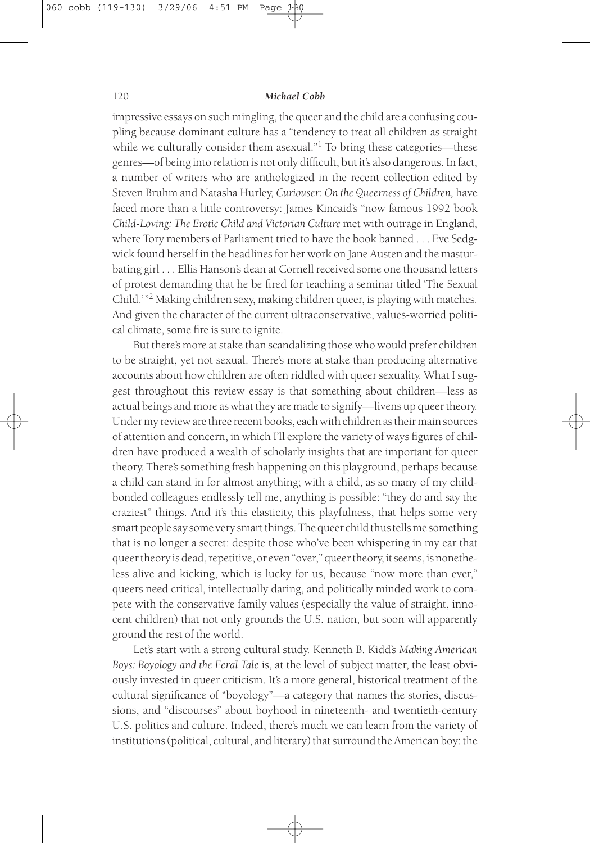impressive essays on such mingling, the queer and the child are a confusing coupling because dominant culture has a "tendency to treat all children as straight while we culturally consider them asexual."<sup>1</sup> To bring these categories—these genres—of being into relation is not only difficult, but it's also dangerous. In fact, a number of writers who are anthologized in the recent collection edited by Steven Bruhm and Natasha Hurley, *Curiouser: On the Queerness of Children,* have faced more than a little controversy: James Kincaid's "now famous 1992 book *Child-Loving: The Erotic Child and Victorian Culture* met with outrage in England, where Tory members of Parliament tried to have the book banned . . . Eve Sedgwick found herself in the headlines for her work on Jane Austen and the masturbating girl . . . Ellis Hanson's dean at Cornell received some one thousand letters of protest demanding that he be fired for teaching a seminar titled 'The Sexual Child.'"<sup>2</sup> Making children sexy, making children queer, is playing with matches. And given the character of the current ultraconservative, values-worried political climate, some fire is sure to ignite.

But there's more at stake than scandalizing those who would prefer children to be straight, yet not sexual. There's more at stake than producing alternative accounts about how children are often riddled with queer sexuality. What I suggest throughout this review essay is that something about children—less as actual beings and more as what they are made to signify—livens up queer theory. Under my review are three recent books, each with children as their main sources of attention and concern, in which I'll explore the variety of ways figures of children have produced a wealth of scholarly insights that are important for queer theory. There's something fresh happening on this playground, perhaps because a child can stand in for almost anything; with a child, as so many of my childbonded colleagues endlessly tell me, anything is possible: "they do and say the craziest" things. And it's this elasticity, this playfulness, that helps some very smart people say some very smart things. The queer child thus tells me something that is no longer a secret: despite those who've been whispering in my ear that queer theory is dead, repetitive, or even "over," queer theory, it seems, is nonetheless alive and kicking, which is lucky for us, because "now more than ever," queers need critical, intellectually daring, and politically minded work to compete with the conservative family values (especially the value of straight, innocent children) that not only grounds the U.S. nation, but soon will apparently ground the rest of the world.

Let's start with a strong cultural study. Kenneth B. Kidd's *Making American Boys: Boyology and the Feral Tale* is, at the level of subject matter, the least obviously invested in queer criticism. It's a more general, historical treatment of the cultural significance of "boyology"—a category that names the stories, discussions, and "discourses" about boyhood in nineteenth- and twentieth-century U.S. politics and culture. Indeed, there's much we can learn from the variety of institutions (political, cultural, and literary) that surround the American boy: the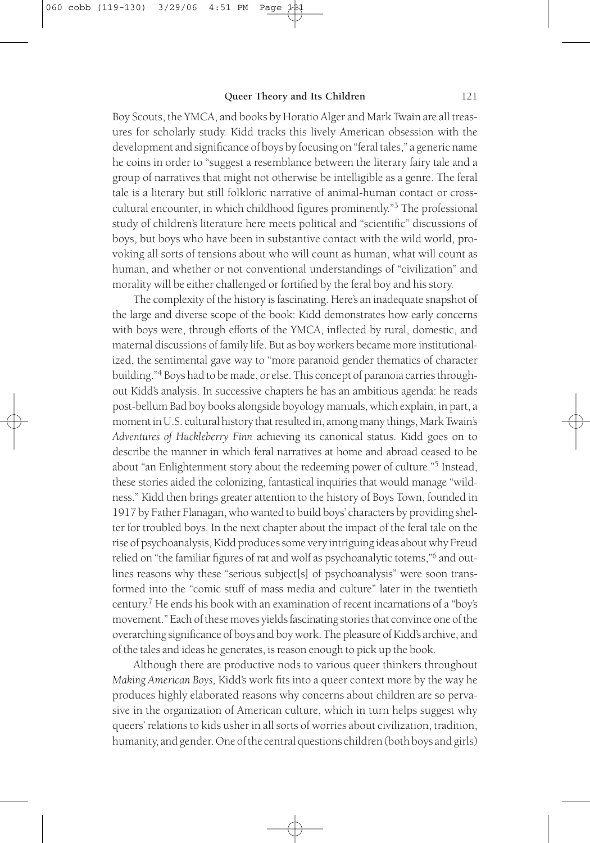Boy Scouts, the YMCA, and books by Horatio Alger and Mark Twain are all treasures for scholarly study. Kidd tracks this lively American obsession with the development and significance of boys by focusing on "feral tales," a generic name he coins in order to "suggest a resemblance between the literary fairy tale and a group of narratives that might not otherwise be intelligible as a genre. The feral tale is a literary but still folkloric narrative of animal-human contact or crosscultural encounter, in which childhood figures prominently."<sup>3</sup> The professional study of children's literature here meets political and "scientific" discussions of boys, but boys who have been in substantive contact with the wild world, provoking all sorts of tensions about who will count as human, what will count as human, and whether or not conventional understandings of "civilization" and morality will be either challenged or fortified by the feral boy and his story.

The complexity of the history is fascinating. Here's an inadequate snapshot of the large and diverse scope of the book: Kidd demonstrates how early concerns with boys were, through efforts of the YMCA, inflected by rural, domestic, and maternal discussions of family life. But as boy workers became more institutionalized, the sentimental gave way to "more paranoid gender thematics of character building."4 Boys had to be made, or else. This concept of paranoia carries throughout Kidd's analysis. In successive chapters he has an ambitious agenda: he reads post-bellum Bad boy books alongside boyology manuals, which explain, in part, a moment in U.S. cultural history that resulted in, among many things, Mark Twain's *Adventures of Huckleberry Finn* achieving its canonical status. Kidd goes on to describe the manner in which feral narratives at home and abroad ceased to be about "an Enlightenment story about the redeeming power of culture."5 Instead, these stories aided the colonizing, fantastical inquiries that would manage "wildness." Kidd then brings greater attention to the history of Boys Town, founded in 1917 by Father Flanagan, who wanted to build boys' characters by providing shelter for troubled boys. In the next chapter about the impact of the feral tale on the rise of psychoanalysis, Kidd produces some very intriguing ideas about why Freud relied on "the familiar figures of rat and wolf as psychoanalytic totems,"6 and outlines reasons why these "serious subject[s] of psychoanalysis" were soon transformed into the "comic stuff of mass media and culture" later in the twentieth century.7 He ends his book with an examination of recent incarnations of a "boy's movement." Each of these moves yields fascinating stories that convince one of the overarching significance of boys and boy work. The pleasure of Kidd's archive, and of the tales and ideas he generates, is reason enough to pick up the book.

Although there are productive nods to various queer thinkers throughout *Making American Boys,* Kidd's work fits into a queer context more by the way he produces highly elaborated reasons why concerns about children are so pervasive in the organization of American culture, which in turn helps suggest why queers' relations to kids usher in all sorts of worries about civilization, tradition, humanity, and gender. One of the central questions children (both boys and girls)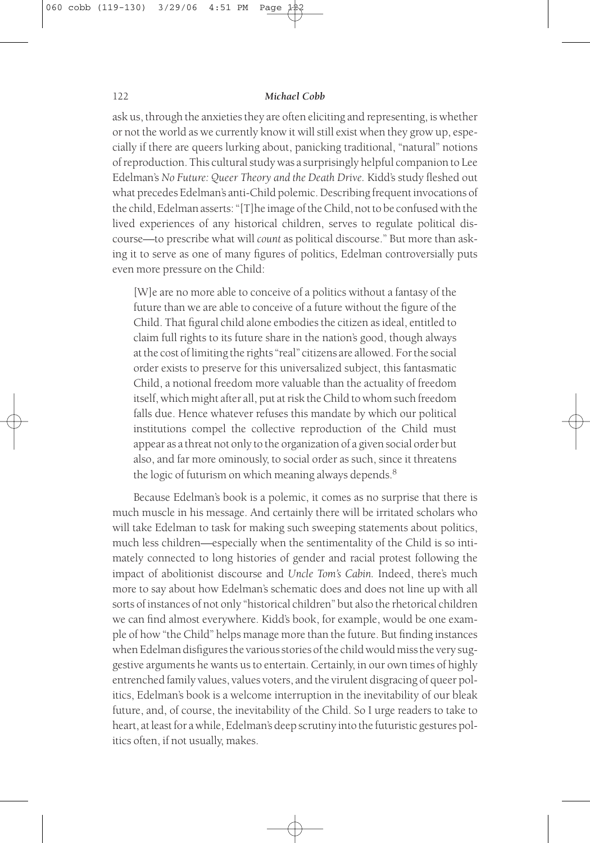ask us, through the anxieties they are often eliciting and representing, is whether or not the world as we currently know it will still exist when they grow up, especially if there are queers lurking about, panicking traditional, "natural" notions of reproduction. This cultural study was a surprisingly helpful companion to Lee Edelman's *No Future: Queer Theory and the Death Drive.* Kidd's study fleshed out what precedes Edelman's anti-Child polemic. Describing frequent invocations of the child, Edelman asserts: "[T]he image of the Child, not to be confused with the lived experiences of any historical children, serves to regulate political discourse—to prescribe what will *count* as political discourse." But more than asking it to serve as one of many figures of politics, Edelman controversially puts even more pressure on the Child:

[W]e are no more able to conceive of a politics without a fantasy of the future than we are able to conceive of a future without the figure of the Child. That figural child alone embodies the citizen as ideal, entitled to claim full rights to its future share in the nation's good, though always at the cost of limiting the rights "real" citizens are allowed. For the social order exists to preserve for this universalized subject, this fantasmatic Child, a notional freedom more valuable than the actuality of freedom itself, which might after all, put at risk the Child to whom such freedom falls due. Hence whatever refuses this mandate by which our political institutions compel the collective reproduction of the Child must appear as a threat not only to the organization of a given social order but also, and far more ominously, to social order as such, since it threatens the logic of futurism on which meaning always depends.<sup>8</sup>

Because Edelman's book is a polemic, it comes as no surprise that there is much muscle in his message. And certainly there will be irritated scholars who will take Edelman to task for making such sweeping statements about politics, much less children—especially when the sentimentality of the Child is so intimately connected to long histories of gender and racial protest following the impact of abolitionist discourse and *Uncle Tom's Cabin.* Indeed, there's much more to say about how Edelman's schematic does and does not line up with all sorts of instances of not only "historical children" but also the rhetorical children we can find almost everywhere. Kidd's book, for example, would be one example of how "the Child" helps manage more than the future. But finding instances when Edelman disfigures the various stories of the child would miss the very suggestive arguments he wants us to entertain. Certainly, in our own times of highly entrenched family values, values voters, and the virulent disgracing of queer politics, Edelman's book is a welcome interruption in the inevitability of our bleak future, and, of course, the inevitability of the Child. So I urge readers to take to heart, at least for a while, Edelman's deep scrutiny into the futuristic gestures politics often, if not usually, makes.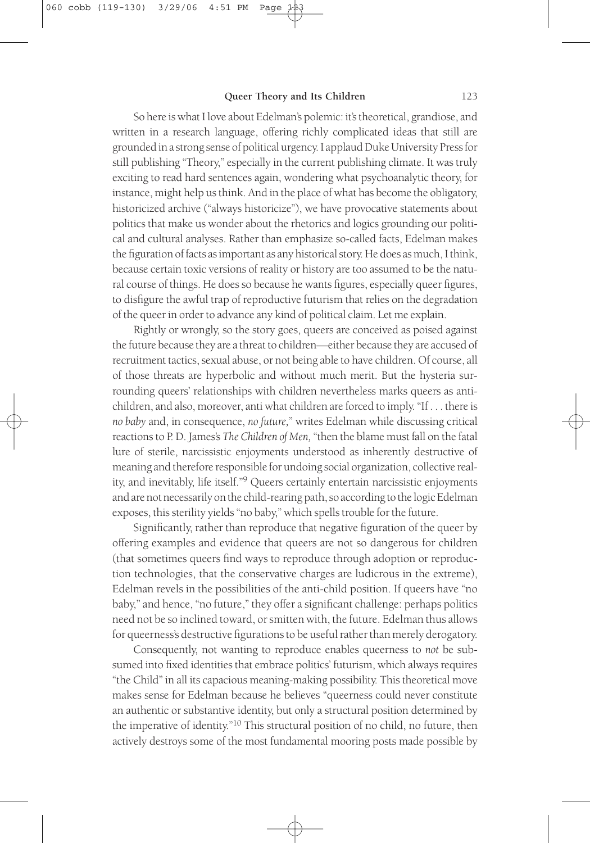So here is what I love about Edelman's polemic: it's theoretical, grandiose, and written in a research language, offering richly complicated ideas that still are grounded in a strong sense of political urgency. I applaud Duke University Press for still publishing "Theory," especially in the current publishing climate. It was truly exciting to read hard sentences again, wondering what psychoanalytic theory, for instance, might help us think. And in the place of what has become the obligatory, historicized archive ("always historicize"), we have provocative statements about politics that make us wonder about the rhetorics and logics grounding our political and cultural analyses. Rather than emphasize so-called facts, Edelman makes the figuration of facts as important as any historical story. He does as much, I think, because certain toxic versions of reality or history are too assumed to be the natural course of things. He does so because he wants figures, especially queer figures, to disfigure the awful trap of reproductive futurism that relies on the degradation of the queer in order to advance any kind of political claim. Let me explain.

Rightly or wrongly, so the story goes, queers are conceived as poised against the future because they are a threat to children—either because they are accused of recruitment tactics, sexual abuse, or not being able to have children. Of course, all of those threats are hyperbolic and without much merit. But the hysteria surrounding queers' relationships with children nevertheless marks queers as antichildren, and also, moreover, anti what children are forced to imply. "If . . . there is *no baby* and, in consequence, *no future,*" writes Edelman while discussing critical reactions to P. D. James's *The Children of Men,* "then the blame must fall on the fatal lure of sterile, narcissistic enjoyments understood as inherently destructive of meaning and therefore responsible for undoing social organization, collective reality, and inevitably, life itself."9 Queers certainly entertain narcissistic enjoyments and are not necessarily on the child-rearing path, so according to the logic Edelman exposes, this sterility yields "no baby," which spells trouble for the future.

Significantly, rather than reproduce that negative figuration of the queer by offering examples and evidence that queers are not so dangerous for children (that sometimes queers find ways to reproduce through adoption or reproduction technologies, that the conservative charges are ludicrous in the extreme), Edelman revels in the possibilities of the anti-child position. If queers have "no baby," and hence, "no future," they offer a significant challenge: perhaps politics need not be so inclined toward, or smitten with, the future. Edelman thus allows for queerness's destructive figurations to be useful rather than merely derogatory.

Consequently, not wanting to reproduce enables queerness to *not* be subsumed into fixed identities that embrace politics' futurism, which always requires "the Child" in all its capacious meaning-making possibility. This theoretical move makes sense for Edelman because he believes "queerness could never constitute an authentic or substantive identity, but only a structural position determined by the imperative of identity."10 This structural position of no child, no future, then actively destroys some of the most fundamental mooring posts made possible by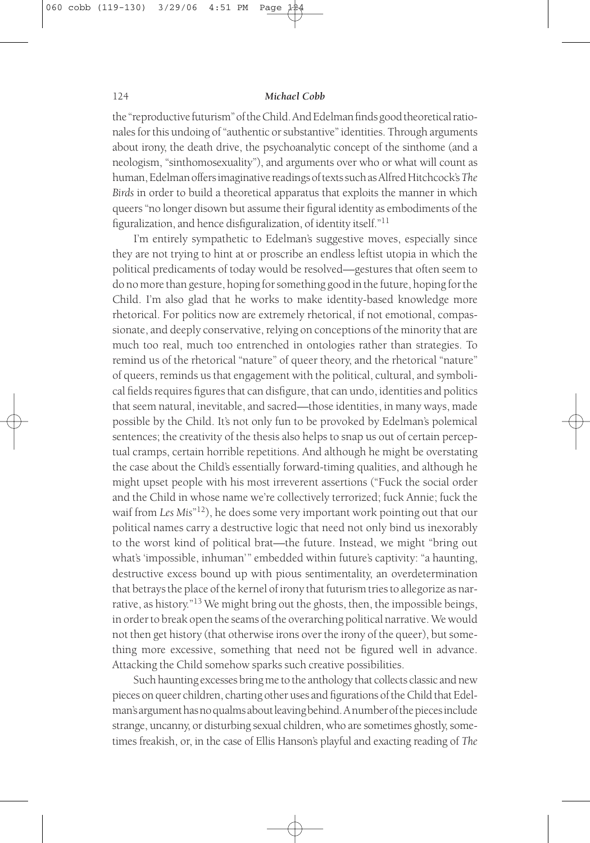the "reproductive futurism" of the Child. And Edelman finds good theoretical rationales for this undoing of "authentic or substantive" identities. Through arguments about irony, the death drive, the psychoanalytic concept of the sinthome (and a neologism, "sinthomosexuality"), and arguments over who or what will count as human, Edelman offers imaginative readings of texts such as Alfred Hitchcock's *The Birds* in order to build a theoretical apparatus that exploits the manner in which queers "no longer disown but assume their figural identity as embodiments of the figuralization, and hence disfiguralization, of identity itself."11

I'm entirely sympathetic to Edelman's suggestive moves, especially since they are not trying to hint at or proscribe an endless leftist utopia in which the political predicaments of today would be resolved—gestures that often seem to do no more than gesture, hoping for something good in the future, hoping for the Child. I'm also glad that he works to make identity-based knowledge more rhetorical. For politics now are extremely rhetorical, if not emotional, compassionate, and deeply conservative, relying on conceptions of the minority that are much too real, much too entrenched in ontologies rather than strategies. To remind us of the rhetorical "nature" of queer theory, and the rhetorical "nature" of queers, reminds us that engagement with the political, cultural, and symbolical fields requires figures that can disfigure, that can undo, identities and politics that seem natural, inevitable, and sacred—those identities, in many ways, made possible by the Child. It's not only fun to be provoked by Edelman's polemical sentences; the creativity of the thesis also helps to snap us out of certain perceptual cramps, certain horrible repetitions. And although he might be overstating the case about the Child's essentially forward-timing qualities, and although he might upset people with his most irreverent assertions ("Fuck the social order and the Child in whose name we're collectively terrorized; fuck Annie; fuck the waif from *Les Mis*"12), he does some very important work pointing out that our political names carry a destructive logic that need not only bind us inexorably to the worst kind of political brat—the future. Instead, we might "bring out what's 'impossible, inhuman'" embedded within future's captivity: "a haunting, destructive excess bound up with pious sentimentality, an overdetermination that betrays the place of the kernel of irony that futurism tries to allegorize as narrative, as history."<sup>13</sup> We might bring out the ghosts, then, the impossible beings, in order to break open the seams of the overarching political narrative. We would not then get history (that otherwise irons over the irony of the queer), but something more excessive, something that need not be figured well in advance. Attacking the Child somehow sparks such creative possibilities.

Such haunting excesses bring me to the anthology that collects classic and new pieces on queer children, charting other uses and figurations of the Child that Edelman's argument has no qualms about leaving behind. A number of the pieces include strange, uncanny, or disturbing sexual children, who are sometimes ghostly, sometimes freakish, or, in the case of Ellis Hanson's playful and exacting reading of *The*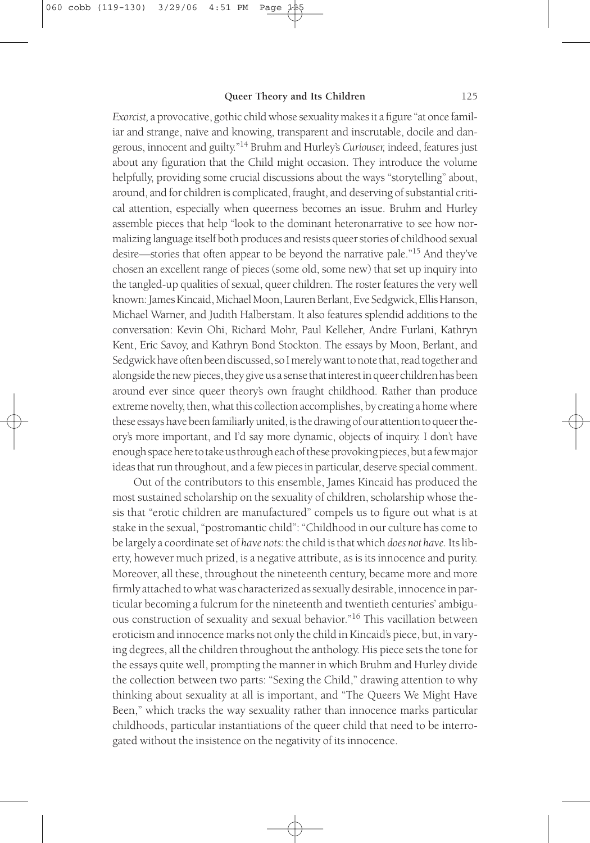*Exorcist,* a provocative, gothic child whose sexuality makes it a figure "at once familiar and strange, naïve and knowing, transparent and inscrutable, docile and dangerous, innocent and guilty."14 Bruhm and Hurley's *Curiouser,* indeed, features just about any figuration that the Child might occasion. They introduce the volume helpfully, providing some crucial discussions about the ways "storytelling" about, around, and for children is complicated, fraught, and deserving of substantial critical attention, especially when queerness becomes an issue. Bruhm and Hurley assemble pieces that help "look to the dominant heteronarrative to see how normalizing language itself both produces and resists queer stories of childhood sexual desire—stories that often appear to be beyond the narrative pale."15 And they've chosen an excellent range of pieces (some old, some new) that set up inquiry into the tangled-up qualities of sexual, queer children. The roster features the very well known: James Kincaid, Michael Moon, Lauren Berlant, Eve Sedgwick, Ellis Hanson, Michael Warner, and Judith Halberstam. It also features splendid additions to the conversation: Kevin Ohi, Richard Mohr, Paul Kelleher, Andre Furlani, Kathryn Kent, Eric Savoy, and Kathryn Bond Stockton. The essays by Moon, Berlant, and Sedgwick have often been discussed, so I merely want to note that, read together and alongside the new pieces, they give us a sense that interest in queer children has been around ever since queer theory's own fraught childhood. Rather than produce extreme novelty, then, what this collection accomplishes, by creating a home where these essays have been familiarly united, is the drawing of our attention to queer theory's more important, and I'd say more dynamic, objects of inquiry. I don't have enough space here to take us through each of these provoking pieces, but a few major ideas that run throughout, and a few pieces in particular, deserve special comment.

Out of the contributors to this ensemble, James Kincaid has produced the most sustained scholarship on the sexuality of children, scholarship whose thesis that "erotic children are manufactured" compels us to figure out what is at stake in the sexual, "postromantic child": "Childhood in our culture has come to be largely a coordinate set of *have nots:* the child is that which *does not have.*Its liberty, however much prized, is a negative attribute, as is its innocence and purity. Moreover, all these, throughout the nineteenth century, became more and more firmly attached to what was characterized as sexually desirable, innocence in particular becoming a fulcrum for the nineteenth and twentieth centuries' ambiguous construction of sexuality and sexual behavior."<sup>16</sup> This vacillation between eroticism and innocence marks not only the child in Kincaid's piece, but, in varying degrees, all the children throughout the anthology. His piece sets the tone for the essays quite well, prompting the manner in which Bruhm and Hurley divide the collection between two parts: "Sexing the Child," drawing attention to why thinking about sexuality at all is important, and "The Queers We Might Have Been," which tracks the way sexuality rather than innocence marks particular childhoods, particular instantiations of the queer child that need to be interrogated without the insistence on the negativity of its innocence.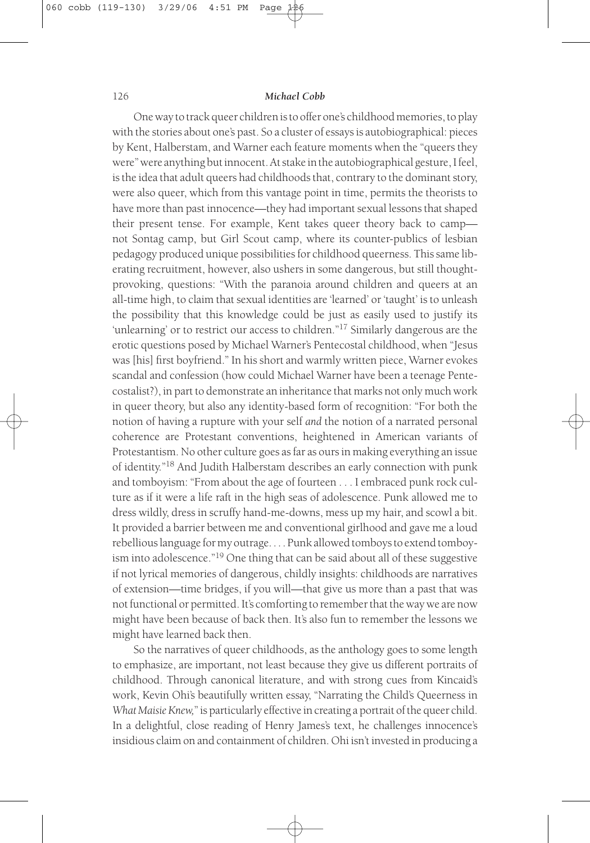One way to track queer children is to offer one's childhood memories, to play with the stories about one's past. So a cluster of essays is autobiographical: pieces by Kent, Halberstam, and Warner each feature moments when the "queers they were" were anything but innocent. At stake in the autobiographical gesture, I feel, is the idea that adult queers had childhoods that, contrary to the dominant story, were also queer, which from this vantage point in time, permits the theorists to have more than past innocence—they had important sexual lessons that shaped their present tense. For example, Kent takes queer theory back to camp not Sontag camp, but Girl Scout camp, where its counter-publics of lesbian pedagogy produced unique possibilities for childhood queerness. This same liberating recruitment, however, also ushers in some dangerous, but still thoughtprovoking, questions: "With the paranoia around children and queers at an all-time high, to claim that sexual identities are 'learned' or 'taught' is to unleash the possibility that this knowledge could be just as easily used to justify its 'unlearning' or to restrict our access to children."<sup>17</sup> Similarly dangerous are the erotic questions posed by Michael Warner's Pentecostal childhood, when "Jesus was [his] first boyfriend." In his short and warmly written piece, Warner evokes scandal and confession (how could Michael Warner have been a teenage Pentecostalist?), in part to demonstrate an inheritance that marks not only much work in queer theory, but also any identity-based form of recognition: "For both the notion of having a rupture with your self *and* the notion of a narrated personal coherence are Protestant conventions, heightened in American variants of Protestantism. No other culture goes as far as ours in making everything an issue of identity."<sup>18</sup> And Judith Halberstam describes an early connection with punk and tomboyism: "From about the age of fourteen . . . I embraced punk rock culture as if it were a life raft in the high seas of adolescence. Punk allowed me to dress wildly, dress in scruffy hand-me-downs, mess up my hair, and scowl a bit. It provided a barrier between me and conventional girlhood and gave me a loud rebellious language for my outrage. . . . Punk allowed tomboys to extend tomboyism into adolescence."<sup>19</sup> One thing that can be said about all of these suggestive if not lyrical memories of dangerous, childly insights: childhoods are narratives of extension—time bridges, if you will—that give us more than a past that was not functional or permitted. It's comforting to remember that the way we are now might have been because of back then. It's also fun to remember the lessons we might have learned back then.

So the narratives of queer childhoods, as the anthology goes to some length to emphasize, are important, not least because they give us different portraits of childhood. Through canonical literature, and with strong cues from Kincaid's work, Kevin Ohi's beautifully written essay, "Narrating the Child's Queerness in *What Maisie Knew,*" is particularly effective in creating a portrait of the queer child. In a delightful, close reading of Henry James's text, he challenges innocence's insidious claim on and containment of children. Ohi isn't invested in producing a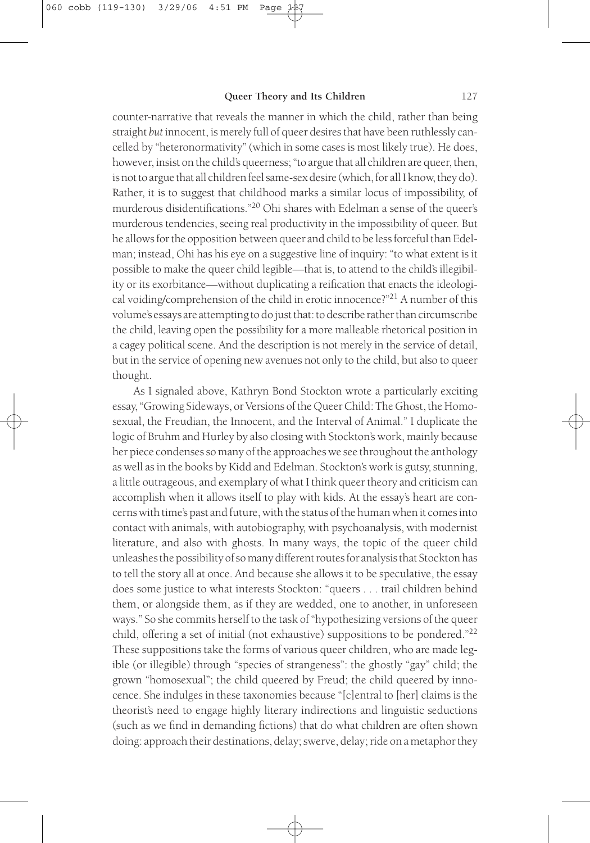counter-narrative that reveals the manner in which the child, rather than being straight *but* innocent, is merely full of queer desires that have been ruthlessly cancelled by "heteronormativity" (which in some cases is most likely true). He does, however, insist on the child's queerness; "to argue that all children are queer, then, is not to argue that all children feel same-sex desire (which, for all I know, they do). Rather, it is to suggest that childhood marks a similar locus of impossibility, of murderous disidentifications."20 Ohi shares with Edelman a sense of the queer's murderous tendencies, seeing real productivity in the impossibility of queer. But he allows for the opposition between queer and child to be less forceful than Edelman; instead, Ohi has his eye on a suggestive line of inquiry: "to what extent is it possible to make the queer child legible—that is, to attend to the child's illegibility or its exorbitance—without duplicating a reification that enacts the ideological voiding/comprehension of the child in erotic innocence?"<sup>21</sup> A number of this volume's essays are attempting to do just that: to describe rather than circumscribe the child, leaving open the possibility for a more malleable rhetorical position in a cagey political scene. And the description is not merely in the service of detail, but in the service of opening new avenues not only to the child, but also to queer thought.

As I signaled above, Kathryn Bond Stockton wrote a particularly exciting essay, "Growing Sideways, or Versions of the Queer Child: The Ghost, the Homosexual, the Freudian, the Innocent, and the Interval of Animal." I duplicate the logic of Bruhm and Hurley by also closing with Stockton's work, mainly because her piece condenses so many of the approaches we see throughout the anthology as well as in the books by Kidd and Edelman. Stockton's work is gutsy, stunning, a little outrageous, and exemplary of what I think queer theory and criticism can accomplish when it allows itself to play with kids. At the essay's heart are concerns with time's past and future, with the status of the human when it comes into contact with animals, with autobiography, with psychoanalysis, with modernist literature, and also with ghosts. In many ways, the topic of the queer child unleashes the possibility of so many different routes for analysis that Stockton has to tell the story all at once. And because she allows it to be speculative, the essay does some justice to what interests Stockton: "queers . . . trail children behind them, or alongside them, as if they are wedded, one to another, in unforeseen ways." So she commits herself to the task of "hypothesizing versions of the queer child, offering a set of initial (not exhaustive) suppositions to be pondered."<sup>22</sup> These suppositions take the forms of various queer children, who are made legible (or illegible) through "species of strangeness": the ghostly "gay" child; the grown "homosexual"; the child queered by Freud; the child queered by innocence. She indulges in these taxonomies because "[c]entral to [her] claims is the theorist's need to engage highly literary indirections and linguistic seductions (such as we find in demanding fictions) that do what children are often shown doing: approach their destinations, delay; swerve, delay; ride on a metaphor they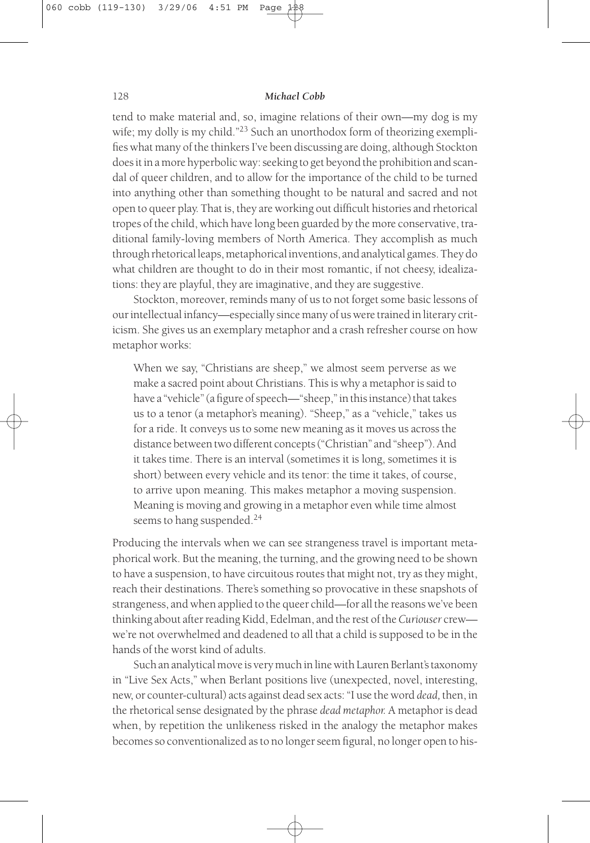tend to make material and, so, imagine relations of their own—my dog is my wife; my dolly is my child."<sup>23</sup> Such an unorthodox form of theorizing exemplifies what many of the thinkers I've been discussing are doing, although Stockton does it in a more hyperbolic way: seeking to get beyond the prohibition and scandal of queer children, and to allow for the importance of the child to be turned into anything other than something thought to be natural and sacred and not open to queer play. That is, they are working out difficult histories and rhetorical tropes of the child, which have long been guarded by the more conservative, traditional family-loving members of North America. They accomplish as much through rhetorical leaps, metaphorical inventions, and analytical games. They do what children are thought to do in their most romantic, if not cheesy, idealizations: they are playful, they are imaginative, and they are suggestive.

Stockton, moreover, reminds many of us to not forget some basic lessons of our intellectual infancy—especially since many of us were trained in literary criticism. She gives us an exemplary metaphor and a crash refresher course on how metaphor works:

When we say, "Christians are sheep," we almost seem perverse as we make a sacred point about Christians. This is why a metaphor is said to have a "vehicle" (a figure of speech—"sheep," in this instance) that takes us to a tenor (a metaphor's meaning). "Sheep," as a "vehicle," takes us for a ride. It conveys us to some new meaning as it moves us across the distance between two different concepts ("Christian" and "sheep"). And it takes time. There is an interval (sometimes it is long, sometimes it is short) between every vehicle and its tenor: the time it takes, of course, to arrive upon meaning. This makes metaphor a moving suspension. Meaning is moving and growing in a metaphor even while time almost seems to hang suspended.<sup>24</sup>

Producing the intervals when we can see strangeness travel is important metaphorical work. But the meaning, the turning, and the growing need to be shown to have a suspension, to have circuitous routes that might not, try as they might, reach their destinations. There's something so provocative in these snapshots of strangeness, and when applied to the queer child—for all the reasons we've been thinking about after reading Kidd, Edelman, and the rest of the *Curiouser* crew we're not overwhelmed and deadened to all that a child is supposed to be in the hands of the worst kind of adults.

Such an analytical move is very much in line with Lauren Berlant's taxonomy in "Live Sex Acts," when Berlant positions live (unexpected, novel, interesting, new, or counter-cultural) acts against dead sex acts: "I use the word *dead,* then, in the rhetorical sense designated by the phrase *dead metaphor.* A metaphor is dead when, by repetition the unlikeness risked in the analogy the metaphor makes becomes so conventionalized as to no longer seem figural, no longer open to his-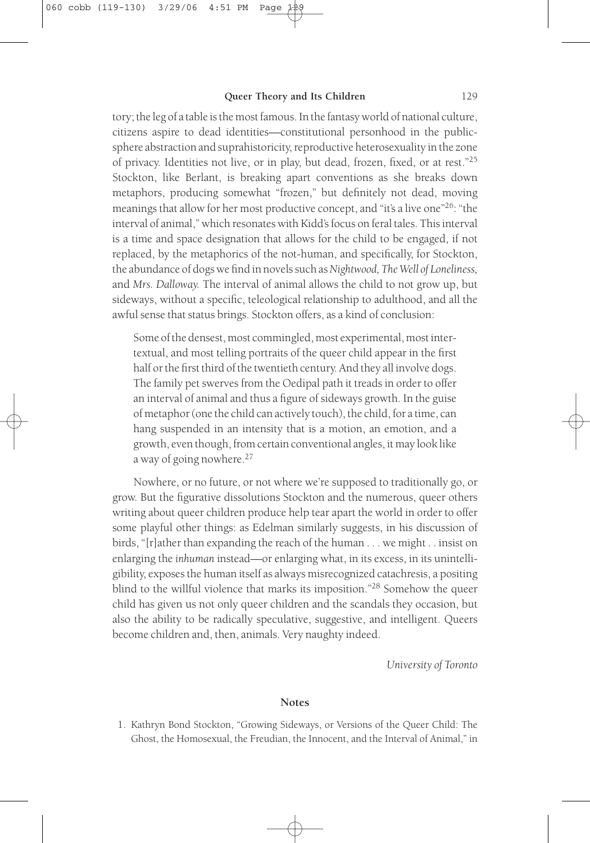tory; the leg of a table is the most famous. In the fantasy world of national culture, citizens aspire to dead identities—constitutional personhood in the publicsphere abstraction and suprahistoricity, reproductive heterosexuality in the zone of privacy. Identities not live, or in play, but dead, frozen, fixed, or at rest."<sup>25</sup> Stockton, like Berlant, is breaking apart conventions as she breaks down metaphors, producing somewhat "frozen," but definitely not dead, moving meanings that allow for her most productive concept, and "it's a live one"26: "the interval of animal," which resonates with Kidd's focus on feral tales. This interval is a time and space designation that allows for the child to be engaged, if not replaced, by the metaphorics of the not-human, and specifically, for Stockton, the abundance of dogs we find in novels such as *Nightwood, The Well of Loneliness,* and *Mrs. Dalloway.* The interval of animal allows the child to not grow up, but sideways, without a specific, teleological relationship to adulthood, and all the awful sense that status brings. Stockton offers, as a kind of conclusion:

Some of the densest, most commingled, most experimental, most intertextual, and most telling portraits of the queer child appear in the first half or the first third of the twentieth century. And they all involve dogs. The family pet swerves from the Oedipal path it treads in order to offer an interval of animal and thus a figure of sideways growth. In the guise of metaphor (one the child can actively touch), the child, for a time, can hang suspended in an intensity that is a motion, an emotion, and a growth, even though, from certain conventional angles, it may look like a way of going nowhere.<sup>27</sup>

Nowhere, or no future, or not where we're supposed to traditionally go, or grow. But the figurative dissolutions Stockton and the numerous, queer others writing about queer children produce help tear apart the world in order to offer some playful other things: as Edelman similarly suggests, in his discussion of birds, "[r]ather than expanding the reach of the human . . . we might . . insist on enlarging the *inhuman* instead—or enlarging what, in its excess, in its unintelligibility, exposes the human itself as always misrecognized catachresis, a positing blind to the willful violence that marks its imposition."<sup>28</sup> Somehow the queer child has given us not only queer children and the scandals they occasion, but also the ability to be radically speculative, suggestive, and intelligent. Queers become children and, then, animals. Very naughty indeed.

*University of Toronto*

#### **Notes**

1. Kathryn Bond Stockton, "Growing Sideways, or Versions of the Queer Child: The Ghost, the Homosexual, the Freudian, the Innocent, and the Interval of Animal," in